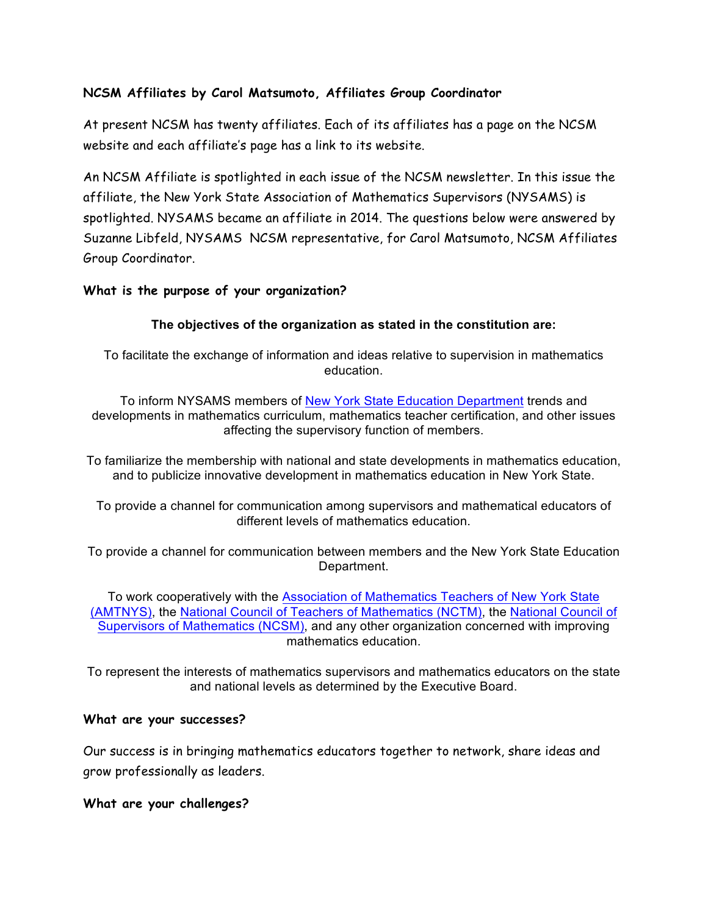# **NCSM Affiliates by Carol Matsumoto, Affiliates Group Coordinator**

At present NCSM has twenty affiliates. Each of its affiliates has a page on the NCSM website and each affiliate's page has a link to its website.

An NCSM Affiliate is spotlighted in each issue of the NCSM newsletter. In this issue the affiliate, the New York State Association of Mathematics Supervisors (NYSAMS) is spotlighted. NYSAMS became an affiliate in 2014. The questions below were answered by Suzanne Libfeld, NYSAMS NCSM representative, for Carol Matsumoto, NCSM Affiliates Group Coordinator.

### **What is the purpose of your organization?**

### **The objectives of the organization as stated in the constitution are:**

To facilitate the exchange of information and ideas relative to supervision in mathematics education.

To inform NYSAMS members of New York State Education Department trends and developments in mathematics curriculum, mathematics teacher certification, and other issues affecting the supervisory function of members.

To familiarize the membership with national and state developments in mathematics education, and to publicize innovative development in mathematics education in New York State.

To provide a channel for communication among supervisors and mathematical educators of different levels of mathematics education.

To provide a channel for communication between members and the New York State Education Department.

To work cooperatively with the Association of Mathematics Teachers of New York State (AMTNYS), the National Council of Teachers of Mathematics (NCTM), the National Council of Supervisors of Mathematics (NCSM), and any other organization concerned with improving mathematics education.

To represent the interests of mathematics supervisors and mathematics educators on the state and national levels as determined by the Executive Board.

#### **What are your successes?**

Our success is in bringing mathematics educators together to network, share ideas and grow professionally as leaders.

#### **What are your challenges?**